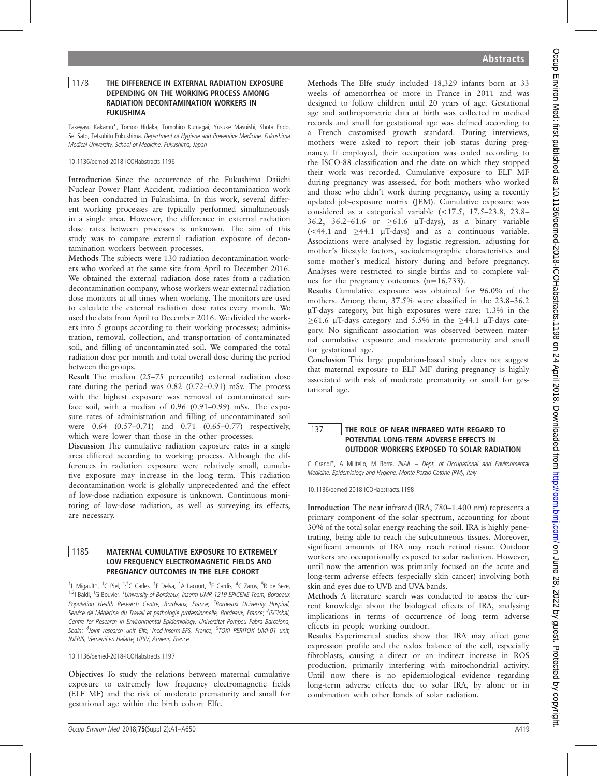## 1178 | THE DIFFERENCE IN EXTERNAL RADIATION EXPOSURE DEPENDING ON THE WORKING PROCESS AMONG RADIATION DECONTAMINATION WORKERS IN FUKUSHIMA

Takeyasu Kakamu\*, Tomoo Hidaka, Tomohiro Kumagai, Yusuke Masuishi, Shota Endo, Sei Sato, Tetsuhito Fukushima. Department of Hygiene and Preventive Medicine, Fukushima Medical University, School of Medicine, Fukushima, Japan

10.1136/oemed-2018-ICOHabstracts.1196

Introduction Since the occurrence of the Fukushima Daiichi Nuclear Power Plant Accident, radiation decontamination work has been conducted in Fukushima. In this work, several different working processes are typically performed simultaneously in a single area. However, the difference in external radiation dose rates between processes is unknown. The aim of this study was to compare external radiation exposure of decontamination workers between processes.

Methods The subjects were 130 radiation decontamination workers who worked at the same site from April to December 2016. We obtained the external radiation dose rates from a radiation decontamination company, whose workers wear external radiation dose monitors at all times when working. The monitors are used to calculate the external radiation dose rates every month. We used the data from April to December 2016. We divided the workers into 5 groups according to their working processes; administration, removal, collection, and transportation of contaminated soil, and filling of uncontaminated soil. We compared the total radiation dose per month and total overall dose during the period between the groups.

Result The median (25–75 percentile) external radiation dose rate during the period was 0.82 (0.72–0.91) mSv. The process with the highest exposure was removal of contaminated surface soil, with a median of 0.96 (0.91–0.99) mSv. The exposure rates of administration and filling of uncontaminated soil were 0.64 (0.57–0.71) and 0.71 (0.65–0.77) respectively, which were lower than those in the other processes.

Discussion The cumulative radiation exposure rates in a single area differed according to working process. Although the differences in radiation exposure were relatively small, cumulative exposure may increase in the long term. This radiation decontamination work is globally unprecedented and the effect of low-dose radiation exposure is unknown. Continuous monitoring of low-dose radiation, as well as surveying its effects, are necessary.

## 1185 | MATERNAL CUMULATIVE EXPOSURE TO EXTREMELY LOW FREQUENCY ELECTROMAGNETIC FIELDS AND PREGNANCY OUTCOMES IN THE ELFE COHORT

<sup>1</sup>L Migault\*, <sup>1</sup>C Piel, <sup>1,2</sup>C Carles, <sup>1</sup>F Delva, <sup>1</sup>A Lacourt, <sup>3</sup>E Cardis, <sup>4</sup>C Zaros, <sup>5</sup>R de Seze, <sup>1,2</sup>I Baldi, <sup>1</sup>G Bouvier. <sup>1</sup>University of Bordeaux, Inserm UMR 1219 EPICENE Team, Bordeaux Population Health Research Centre, Bordeaux, France; <sup>2</sup>Bordeaux University Hospital, Service de Médecine du Travail et pathologie professionnelle, Bordeaux, France; <sup>3</sup>ISGlobal, Centre for Research in Environmental Epidemiology, Universitat Pompeu Fabra Barcelona, Spain; <sup>4</sup>Joint research unit Elfe, Ined-Inserm-EFS, France; <sup>5</sup>TOXI PERITOX UMI-01 unit, INERIS, Verneuil en Halatte, UPJV, Amiens, France

10.1136/oemed-2018-ICOHabstracts.1197

Objectives To study the relations between maternal cumulative exposure to extremely low frequency electromagnetic fields (ELF MF) and the risk of moderate prematurity and small for gestational age within the birth cohort Elfe.

Methods The Elfe study included 18,329 infants born at 33 weeks of amenorrhea or more in France in 2011 and was designed to follow children until 20 years of age. Gestational age and anthropometric data at birth was collected in medical records and small for gestational age was defined according to a French customised growth standard. During interviews, mothers were asked to report their job status during pregnancy. If employed, their occupation was coded according to the ISCO-88 classification and the date on which they stopped their work was recorded. Cumulative exposure to ELF MF during pregnancy was assessed, for both mothers who worked and those who didn't work during pregnancy, using a recently updated job-exposure matrix (JEM). Cumulative exposure was considered as a categorical variable (<17.5, 17.5–23.8, 23.8– 36.2, 36.2–61.6 or  $\geq 61.6$  µT-days), as a binary variable  $\leq 44.1$  and  $\geq 44.1$  µT-days) and as a continuous variable. Associations were analysed by logistic regression, adjusting for mother's lifestyle factors, sociodemographic characteristics and some mother's medical history during and before pregnancy. Analyses were restricted to single births and to complete values for the pregnancy outcomes (n=16,733).

Results Cumulative exposure was obtained for 96.0% of the mothers. Among them, 37.5% were classified in the 23.8–36.2 mT-days category, but high exposures were rare: 1.3% in the  $>61.6$  µT-days category and 5.5% in the  $>44.1$  µT-days category. No significant association was observed between maternal cumulative exposure and moderate prematurity and small for gestational age.

Conclusion This large population-based study does not suggest that maternal exposure to ELF MF during pregnancy is highly associated with risk of moderate prematurity or small for gestational age.

# 137 **THE ROLE OF NEAR INFRARED WITH REGARD TO** POTENTIAL LONG-TERM ADVERSE EFFECTS IN OUTDOOR WORKERS EXPOSED TO SOLAR RADIATION

C Grandi\*, A Militello, M Borra. INAIL – Dept. of Occupational and Environmental Medicine, Epidemiology and Hygiene, Monte Porzio Catone (RM), Italy

10.1136/oemed-2018-ICOHabstracts.1198

Introduction The near infrared (IRA, 780–1.400 nm) represents a primary component of the solar spectrum, accounting for about 30% of the total solar energy reaching the soil. IRA is highly penetrating, being able to reach the subcutaneous tissues. Moreover, significant amounts of IRA may reach retinal tissue. Outdoor workers are occupationally exposed to solar radiation. However, until now the attention was primarily focused on the acute and long-term adverse effects (especially skin cancer) involving both skin and eyes due to UVB and UVA bands.

Methods A literature search was conducted to assess the current knowledge about the biological effects of IRA, analysing implications in terms of occurrence of long term adverse effects in people working outdoor.

Results Experimental studies show that IRA may affect gene expression profile and the redox balance of the cell, especially fibroblasts, causing a direct or an indirect increase in ROS production, primarily interfering with mitochondrial activity. Until now there is no epidemiological evidence regarding long-term adverse effects due to solar IRA, by alone or in combination with other bands of solar radiation.